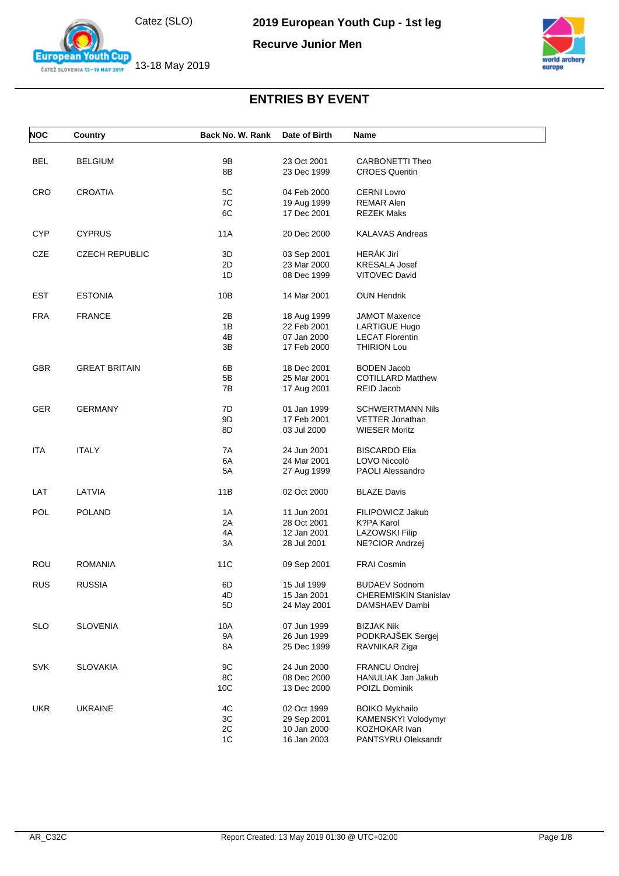

**European Youth Cup** ČATEŽ SLOVENIA 13-18 MAY 2019

**Recurve Junior Men**



| <b>NOC</b> | Country               | Back No. W. Rank | Date of Birth | <b>Name</b>                  |
|------------|-----------------------|------------------|---------------|------------------------------|
| BEL        | <b>BELGIUM</b>        | 9B               | 23 Oct 2001   | CARBONETTI Theo              |
|            |                       | 8B               | 23 Dec 1999   | <b>CROES Quentin</b>         |
| CRO        | <b>CROATIA</b>        | 5C               | 04 Feb 2000   | <b>CERNI Lovro</b>           |
|            |                       | 7C               | 19 Aug 1999   | <b>REMAR Alen</b>            |
|            |                       | 6C               | 17 Dec 2001   | <b>REZEK Maks</b>            |
| <b>CYP</b> | <b>CYPRUS</b>         | <b>11A</b>       | 20 Dec 2000   | <b>KALAVAS Andreas</b>       |
| CZE        | <b>CZECH REPUBLIC</b> | 3D               | 03 Sep 2001   | HERÁK Jirí                   |
|            |                       | 2D               | 23 Mar 2000   | <b>KRESALA Josef</b>         |
|            |                       | 1D               | 08 Dec 1999   | <b>VITOVEC David</b>         |
| <b>EST</b> | <b>ESTONIA</b>        | 10B              | 14 Mar 2001   | <b>OUN Hendrik</b>           |
| <b>FRA</b> | <b>FRANCE</b>         | 2B               | 18 Aug 1999   | <b>JAMOT Maxence</b>         |
|            |                       | 1B               | 22 Feb 2001   | <b>LARTIGUE Hugo</b>         |
|            |                       | 4B               | 07 Jan 2000   | <b>LECAT Florentin</b>       |
|            |                       | 3B               | 17 Feb 2000   | <b>THIRION Lou</b>           |
| <b>GBR</b> | <b>GREAT BRITAIN</b>  | 6B               | 18 Dec 2001   | <b>BODEN Jacob</b>           |
|            |                       | 5B               | 25 Mar 2001   | <b>COTILLARD Matthew</b>     |
|            |                       | 7B               | 17 Aug 2001   | REID Jacob                   |
| GER        | <b>GERMANY</b>        | 7D               | 01 Jan 1999   | <b>SCHWERTMANN Nils</b>      |
|            |                       | 9D               | 17 Feb 2001   | <b>VETTER Jonathan</b>       |
|            |                       | 8D               | 03 Jul 2000   | <b>WIESER Moritz</b>         |
| ITA        | <b>ITALY</b>          | 7A               | 24 Jun 2001   | <b>BISCARDO Elia</b>         |
|            |                       | 6A               | 24 Mar 2001   | LOVO Niccolò                 |
|            |                       | 5A               | 27 Aug 1999   | <b>PAOLI Alessandro</b>      |
| LAT        | LATVIA                | 11B              | 02 Oct 2000   | <b>BLAZE Davis</b>           |
| POL        | <b>POLAND</b>         | 1A               | 11 Jun 2001   | FILIPOWICZ Jakub             |
|            |                       | 2A               | 28 Oct 2001   | K?PA Karol                   |
|            |                       | 4A               | 12 Jan 2001   | <b>LAZOWSKI Filip</b>        |
|            |                       | 3A               | 28 Jul 2001   | NE?CIOR Andrzej              |
| ROU        | <b>ROMANIA</b>        | 11C              | 09 Sep 2001   | <b>FRAI Cosmin</b>           |
| <b>RUS</b> | <b>RUSSIA</b>         | 6D               | 15 Jul 1999   | <b>BUDAEV Sodnom</b>         |
|            |                       | 4D               | 15 Jan 2001   | <b>CHEREMISKIN Stanislav</b> |
|            |                       | 5D               | 24 May 2001   | DAMSHAEV Dambi               |
| <b>SLO</b> | <b>SLOVENIA</b>       | 10A              | 07 Jun 1999   | <b>BIZJAK Nik</b>            |
|            |                       | <b>9A</b>        | 26 Jun 1999   | PODKRAJŠEK Sergej            |
|            |                       | 8A               | 25 Dec 1999   | RAVNIKAR Ziga                |
| <b>SVK</b> | <b>SLOVAKIA</b>       | 9C               | 24 Jun 2000   | FRANCU Ondrej                |
|            |                       | 8C               | 08 Dec 2000   | HANULIAK Jan Jakub           |
|            |                       | 10C              | 13 Dec 2000   | <b>POIZL Dominik</b>         |
| <b>UKR</b> | <b>UKRAINE</b>        | 4C               | 02 Oct 1999   | <b>BOIKO Mykhailo</b>        |
|            |                       | 3C               | 29 Sep 2001   | KAMENSKYI Volodymyr          |
|            |                       | 2C               | 10 Jan 2000   | KOZHOKAR Ivan                |
|            |                       | 1C               | 16 Jan 2003   | PANTSYRU Oleksandr           |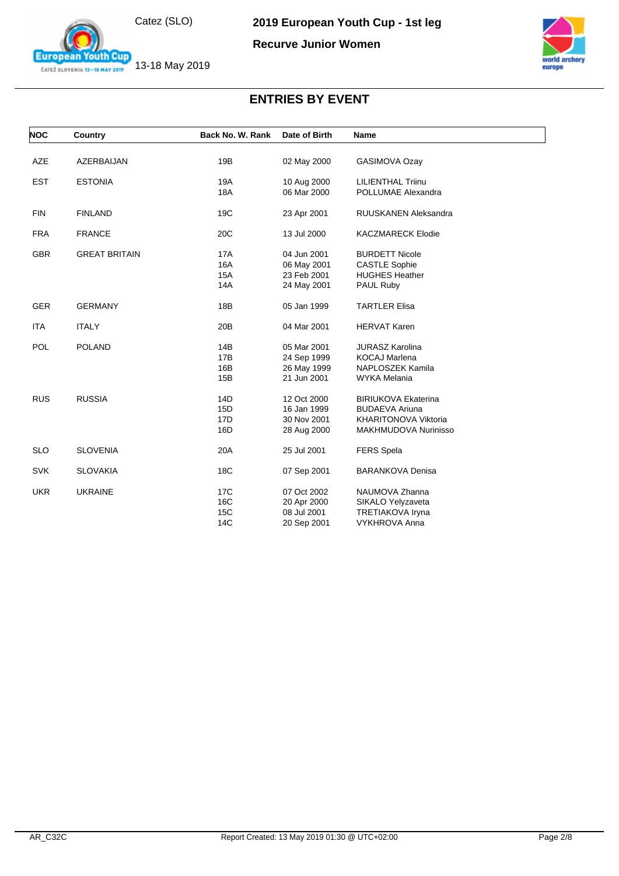

**European Youth Cup** ČATEŽ SLOVENIA 13-18 MAY 2019

**Recurve Junior Women**



| <b>NOC</b> | Country              | Back No. W. Rank | Date of Birth | <b>Name</b>                 |
|------------|----------------------|------------------|---------------|-----------------------------|
|            |                      |                  |               |                             |
| AZE        | AZERBAIJAN           | 19B              | 02 May 2000   | GASIMOVA Ozay               |
| <b>EST</b> | <b>ESTONIA</b>       | 19A              | 10 Aug 2000   | <b>LILIENTHAL Triinu</b>    |
|            |                      | <b>18A</b>       | 06 Mar 2000   | POLLUMAE Alexandra          |
| <b>FIN</b> | <b>FINLAND</b>       | 19C              | 23 Apr 2001   | <b>RUUSKANEN Aleksandra</b> |
| <b>FRA</b> | <b>FRANCE</b>        | 20C              | 13 Jul 2000   | <b>KACZMARECK Elodie</b>    |
| <b>GBR</b> | <b>GREAT BRITAIN</b> | 17A              | 04 Jun 2001   | <b>BURDETT Nicole</b>       |
|            |                      | 16A              | 06 May 2001   | <b>CASTLE Sophie</b>        |
|            |                      | 15A              | 23 Feb 2001   | <b>HUGHES Heather</b>       |
|            |                      | 14A              | 24 May 2001   | PAUL Ruby                   |
| <b>GER</b> | <b>GERMANY</b>       | 18B              | 05 Jan 1999   | <b>TARTLER Elisa</b>        |
| <b>ITA</b> | <b>ITALY</b>         | 20 <sub>B</sub>  | 04 Mar 2001   | <b>HERVAT Karen</b>         |
| <b>POL</b> | <b>POLAND</b>        | 14B              | 05 Mar 2001   | <b>JURASZ Karolina</b>      |
|            |                      | 17B              | 24 Sep 1999   | <b>KOCAJ Marlena</b>        |
|            |                      | 16B              | 26 May 1999   | NAPLOSZEK Kamila            |
|            |                      | 15B              | 21 Jun 2001   | <b>WYKA Melania</b>         |
| <b>RUS</b> | <b>RUSSIA</b>        | 14D              | 12 Oct 2000   | <b>BIRIUKOVA Ekaterina</b>  |
|            |                      | 15D              | 16 Jan 1999   | <b>BUDAEVA Ariuna</b>       |
|            |                      | 17D              | 30 Nov 2001   | <b>KHARITONOVA Viktoria</b> |
|            |                      | 16D              | 28 Aug 2000   | MAKHMUDOVA Nurinisso        |
| <b>SLO</b> | <b>SLOVENIA</b>      | 20A              | 25 Jul 2001   | <b>FERS Spela</b>           |
| <b>SVK</b> | <b>SLOVAKIA</b>      | 18C              | 07 Sep 2001   | <b>BARANKOVA Denisa</b>     |
| <b>UKR</b> | <b>UKRAINE</b>       | 17C              | 07 Oct 2002   | NAUMOVA Zhanna              |
|            |                      | 16C              | 20 Apr 2000   | SIKALO Yelyzaveta           |
|            |                      | 15C              | 08 Jul 2001   | <b>TRETIAKOVA Iryna</b>     |
|            |                      | 14C              | 20 Sep 2001   | <b>VYKHROVA Anna</b>        |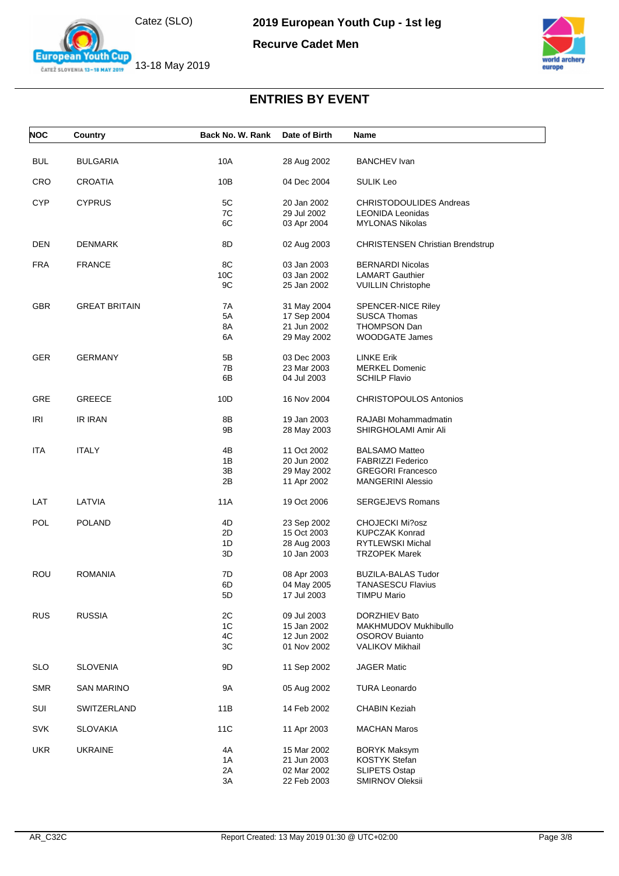







**European Youth Cup** 



| <b>NOC</b> | Country              | Back No. W. Rank | Date of Birth              | Name                                    |
|------------|----------------------|------------------|----------------------------|-----------------------------------------|
| <b>BUL</b> | <b>BULGARIA</b>      | 10A              | 28 Aug 2002                | <b>BANCHEV Ivan</b>                     |
|            |                      |                  |                            |                                         |
| <b>CRO</b> | <b>CROATIA</b>       | 10B              | 04 Dec 2004                | <b>SULIK Leo</b>                        |
| <b>CYP</b> | <b>CYPRUS</b>        | 5C               | 20 Jan 2002                | <b>CHRISTODOULIDES Andreas</b>          |
|            |                      | 7C               | 29 Jul 2002                | <b>LEONIDA Leonidas</b>                 |
|            |                      | 6C               | 03 Apr 2004                | <b>MYLONAS Nikolas</b>                  |
| DEN        | <b>DENMARK</b>       | 8D               | 02 Aug 2003                | <b>CHRISTENSEN Christian Brendstrup</b> |
| <b>FRA</b> | <b>FRANCE</b>        | 8C               | 03 Jan 2003                | <b>BERNARDI Nicolas</b>                 |
|            |                      | 10C              | 03 Jan 2002                | <b>LAMART Gauthier</b>                  |
|            |                      | 9C               | 25 Jan 2002                | <b>VUILLIN Christophe</b>               |
| GBR        | <b>GREAT BRITAIN</b> | 7A               | 31 May 2004                | <b>SPENCER-NICE Riley</b>               |
|            |                      | 5A               | 17 Sep 2004                | <b>SUSCA Thomas</b>                     |
|            |                      | 8A               | 21 Jun 2002                | <b>THOMPSON Dan</b>                     |
|            |                      | 6A               | 29 May 2002                | <b>WOODGATE James</b>                   |
|            |                      |                  |                            |                                         |
| <b>GER</b> | <b>GERMANY</b>       | 5Β               | 03 Dec 2003                | <b>LINKE Erik</b>                       |
|            |                      | 7B               | 23 Mar 2003                | <b>MERKEL Domenic</b>                   |
|            |                      | 6В               | 04 Jul 2003                | <b>SCHILP Flavio</b>                    |
| <b>GRE</b> | <b>GREECE</b>        | 10 <sub>D</sub>  | 16 Nov 2004                | <b>CHRISTOPOULOS Antonios</b>           |
| IRI        | IR IRAN              | 8Β               | 19 Jan 2003                | RAJABI Mohammadmatin                    |
|            |                      | 9Β               | 28 May 2003                | SHIRGHOLAMI Amir Ali                    |
| ITA        | <b>ITALY</b>         | 4B               | 11 Oct 2002                | <b>BALSAMO Matteo</b>                   |
|            |                      | 1B               | 20 Jun 2002                | <b>FABRIZZI Federico</b>                |
|            |                      | 3B               |                            | <b>GREGORI Francesco</b>                |
|            |                      | 2Β               | 29 May 2002<br>11 Apr 2002 | <b>MANGERINI Alessio</b>                |
|            |                      |                  |                            |                                         |
| LAT        | LATVIA               | 11A              | 19 Oct 2006                | <b>SERGEJEVS Romans</b>                 |
| POL        | <b>POLAND</b>        | 4D               | 23 Sep 2002                | CHOJECKI Mi?osz                         |
|            |                      | 2D               | 15 Oct 2003                | <b>KUPCZAK Konrad</b>                   |
|            |                      | 1D               | 28 Aug 2003                | RYTLEWSKI Michal                        |
|            |                      | 3D               | 10 Jan 2003                | <b>TRZOPEK Marek</b>                    |
| <b>ROU</b> | <b>ROMANIA</b>       | 7D               | 08 Apr 2003                | <b>BUZILA-BALAS Tudor</b>               |
|            |                      | 6D               | 04 May 2005                | <b>TANASESCU Flavius</b>                |
|            |                      | 5D               | 17 Jul 2003                | <b>TIMPU Mario</b>                      |
| <b>RUS</b> | <b>RUSSIA</b>        | 2C               | 09 Jul 2003                | DORZHIEV Bato                           |
|            |                      | 1C               | 15 Jan 2002                | MAKHMUDOV Mukhibullo                    |
|            |                      | 4C               | 12 Jun 2002                | <b>OSOROV Buianto</b>                   |
|            |                      | ЗC               | 01 Nov 2002                | <b>VALIKOV Mikhail</b>                  |
|            |                      |                  |                            |                                         |
| <b>SLO</b> | <b>SLOVENIA</b>      | 9D               | 11 Sep 2002                | <b>JAGER Matic</b>                      |
| <b>SMR</b> | <b>SAN MARINO</b>    | 9A               | 05 Aug 2002                | <b>TURA Leonardo</b>                    |
| SUI        | SWITZERLAND          | 11B              | 14 Feb 2002                | <b>CHABIN Keziah</b>                    |
| <b>SVK</b> | <b>SLOVAKIA</b>      | 11C              | 11 Apr 2003                | <b>MACHAN Maros</b>                     |
| <b>UKR</b> | <b>UKRAINE</b>       | 4A               | 15 Mar 2002                | <b>BORYK Maksym</b>                     |
|            |                      | 1A               | 21 Jun 2003                | <b>KOSTYK Stefan</b>                    |
|            |                      | 2A               | 02 Mar 2002                | <b>SLIPETS Ostap</b>                    |
|            |                      | 3A               | 22 Feb 2003                | SMIRNOV Oleksii                         |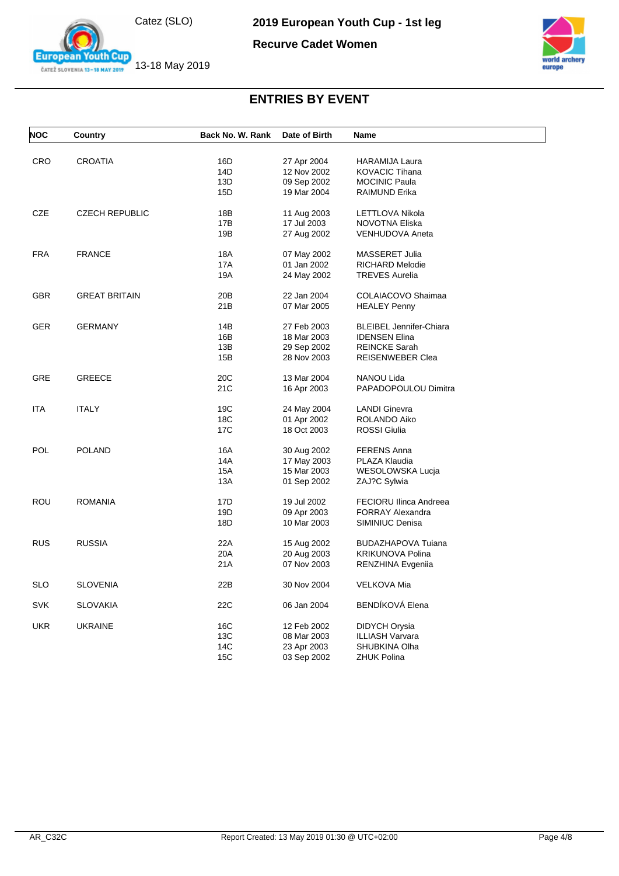

**European Youth Cup** ČATEŽ SLOVENIA 13-18 MAY 2019

**2019 European Youth Cup - 1st leg**





| <b>NOC</b> | Country               | Back No. W. Rank | Date of Birth | <b>Name</b>                      |
|------------|-----------------------|------------------|---------------|----------------------------------|
|            |                       |                  |               |                                  |
| <b>CRO</b> | <b>CROATIA</b>        | 16D              | 27 Apr 2004   | <b>HARAMIJA Laura</b>            |
|            |                       | 14D              | 12 Nov 2002   | <b>KOVACIC Tihana</b>            |
|            |                       | 13D              | 09 Sep 2002   | <b>MOCINIC Paula</b>             |
|            |                       | 15D              | 19 Mar 2004   | RAIMUND Erika                    |
| CZE        | <b>CZECH REPUBLIC</b> | 18B              | 11 Aug 2003   | LETTLOVA Nikola                  |
|            |                       | 17B              | 17 Jul 2003   | NOVOTNA Eliska                   |
|            |                       | 19B              | 27 Aug 2002   | VENHUDOVA Aneta                  |
| <b>FRA</b> | <b>FRANCE</b>         | 18A              | 07 May 2002   | MASSERET Julia                   |
|            |                       | 17A              | 01 Jan 2002   | RICHARD Melodie                  |
|            |                       | 19A              | 24 May 2002   | <b>TREVES Aurelia</b>            |
| <b>GBR</b> | <b>GREAT BRITAIN</b>  | 20 <sub>B</sub>  | 22 Jan 2004   | COLAIACOVO Shaimaa               |
|            |                       | 21B              | 07 Mar 2005   | <b>HEALEY Penny</b>              |
|            |                       |                  |               |                                  |
| <b>GER</b> | GERMANY               | 14B              | 27 Feb 2003   | <b>BLEIBEL Jennifer-Chiara</b>   |
|            |                       | 16B              | 18 Mar 2003   | <b>IDENSEN Elina</b>             |
|            |                       | 13B              | 29 Sep 2002   | <b>REINCKE Sarah</b>             |
|            |                       | 15B              | 28 Nov 2003   | <b>REISENWEBER Clea</b>          |
| <b>GRE</b> | <b>GREECE</b>         | 20 <sub>C</sub>  | 13 Mar 2004   | NANOU Lida                       |
|            |                       | 21C              | 16 Apr 2003   | PAPADOPOULOU Dimitra             |
| ITA        | <b>ITALY</b>          | 19C              | 24 May 2004   | <b>LANDI Ginevra</b>             |
|            |                       | 18C              | 01 Apr 2002   | ROLANDO Aiko                     |
|            |                       | 17C              | 18 Oct 2003   | <b>ROSSI</b> Giulia              |
| <b>POL</b> | <b>POLAND</b>         | 16A              | 30 Aug 2002   | <b>FERENS Anna</b>               |
|            |                       | 14A              | 17 May 2003   | PLAZA Klaudia                    |
|            |                       | 15A              | 15 Mar 2003   |                                  |
|            |                       | 13A              |               | WESOLOWSKA Lucja<br>ZAJ?C Sylwia |
|            |                       |                  | 01 Sep 2002   |                                  |
| ROU        | ROMANIA               | 17D              | 19 Jul 2002   | FECIORU Ilinca Andreea           |
|            |                       | 19D              | 09 Apr 2003   | <b>FORRAY Alexandra</b>          |
|            |                       | 18D              | 10 Mar 2003   | SIMINIUC Denisa                  |
| <b>RUS</b> | <b>RUSSIA</b>         | 22A              | 15 Aug 2002   | <b>BUDAZHAPOVA Tuiana</b>        |
|            |                       | 20A              | 20 Aug 2003   | <b>KRIKUNOVA Polina</b>          |
|            |                       | 21A              | 07 Nov 2003   | RENZHINA Evgeniia                |
| <b>SLO</b> | SLOVENIA              | 22B              | 30 Nov 2004   | <b>VELKOVA Mia</b>               |
| <b>SVK</b> | SLOVAKIA              | 22C              | 06 Jan 2004   | <b>BENDÍKOVÁ Elena</b>           |
| <b>UKR</b> | <b>UKRAINE</b>        | 16C              | 12 Feb 2002   | DIDYCH Orysia                    |
|            |                       | 13C              | 08 Mar 2003   | <b>ILLIASH Varvara</b>           |
|            |                       | 14C              | 23 Apr 2003   | SHUBKINA Olha                    |
|            |                       | 15C              | 03 Sep 2002   | ZHUK Polina                      |
|            |                       |                  |               |                                  |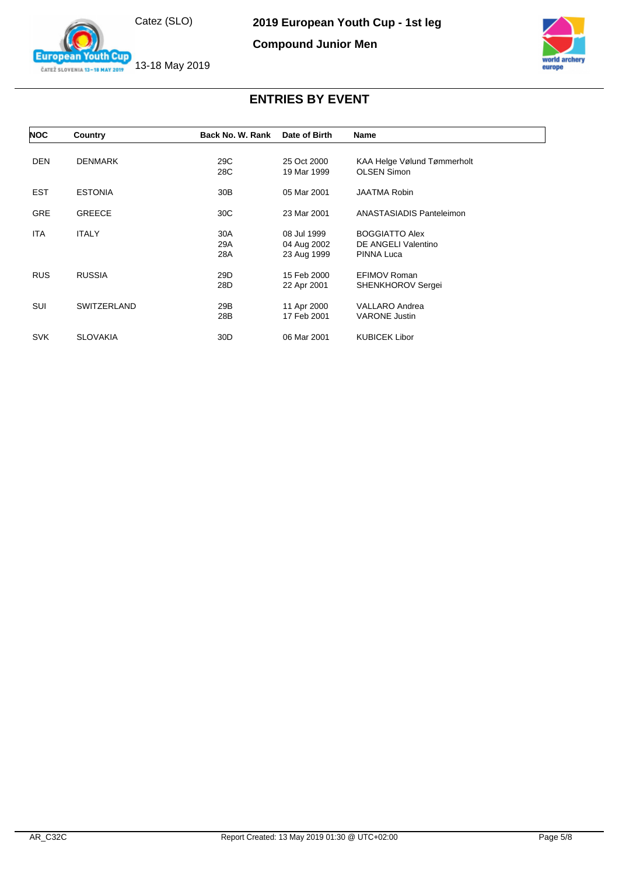

**European Youth Cup** ČATEŽ SLOVENIA 13-18 MAY 2019

**2019 European Youth Cup - 1st leg**

**Compound Junior Men**



| <b>NOC</b> | Country            | Back No. W. Rank  | Date of Birth                             | Name                                                              |
|------------|--------------------|-------------------|-------------------------------------------|-------------------------------------------------------------------|
| <b>DEN</b> | <b>DENMARK</b>     | 29C<br>28C        | 25 Oct 2000<br>19 Mar 1999                | KAA Helge Vølund Tømmerholt<br><b>OLSEN Simon</b>                 |
| <b>EST</b> | <b>ESTONIA</b>     | 30 <sub>B</sub>   | 05 Mar 2001                               | <b>JAATMA Robin</b>                                               |
| <b>GRE</b> | <b>GREECE</b>      | 30C               | 23 Mar 2001                               | ANASTASIADIS Panteleimon                                          |
| <b>ITA</b> | <b>ITALY</b>       | 30A<br>29A<br>28A | 08 Jul 1999<br>04 Aug 2002<br>23 Aug 1999 | <b>BOGGIATTO Alex</b><br>DE ANGELI Valentino<br><b>PINNA Luca</b> |
| <b>RUS</b> | <b>RUSSIA</b>      | 29D<br>28D        | 15 Feb 2000<br>22 Apr 2001                | EFIMOV Roman<br>SHENKHOROV Sergei                                 |
| SUI        | <b>SWITZERLAND</b> | 29B<br>28B        | 11 Apr 2000<br>17 Feb 2001                | <b>VALLARO Andrea</b><br><b>VARONE Justin</b>                     |
| <b>SVK</b> | <b>SLOVAKIA</b>    | 30 <sub>D</sub>   | 06 Mar 2001                               | <b>KUBICEK Libor</b>                                              |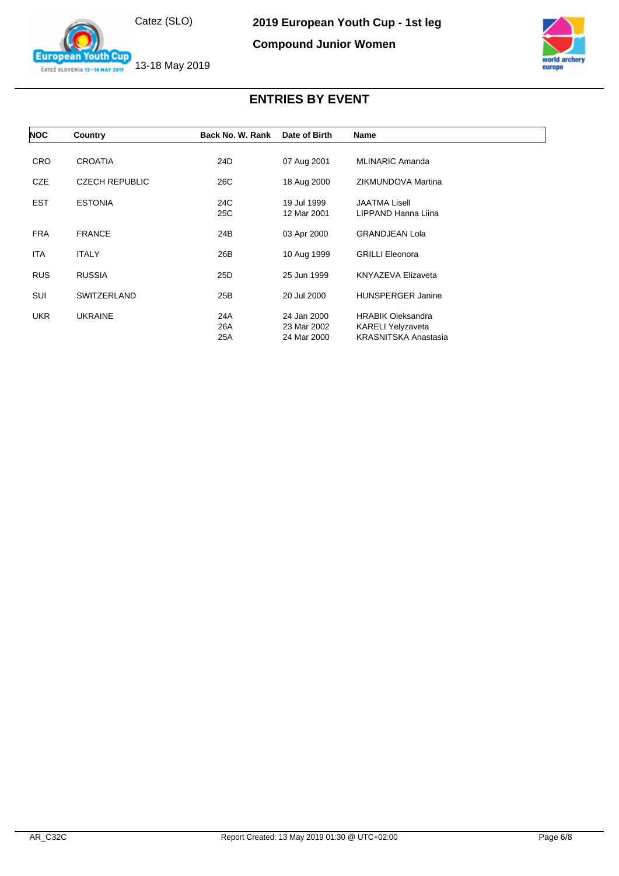

**European Youth Cup** ČATEŽ SLOVENIA 13-18 MAY 2019

#### **Compound Junior Women**



| <b>NOC</b> | Country               | Back No. W. Rank  | Date of Birth                             | <b>Name</b>                                                                  |
|------------|-----------------------|-------------------|-------------------------------------------|------------------------------------------------------------------------------|
|            |                       |                   |                                           |                                                                              |
| <b>CRO</b> | <b>CROATIA</b>        | 24D               | 07 Aug 2001                               | <b>MLINARIC Amanda</b>                                                       |
| <b>CZE</b> | <b>CZECH REPUBLIC</b> | 26C               | 18 Aug 2000                               | ZIKMUNDOVA Martina                                                           |
| <b>EST</b> | <b>ESTONIA</b>        | 24C<br>25C        | 19 Jul 1999<br>12 Mar 2001                | <b>JAATMA Lisell</b><br>LIPPAND Hanna Liina                                  |
| <b>FRA</b> | <b>FRANCE</b>         | 24B               | 03 Apr 2000                               | <b>GRANDJEAN Lola</b>                                                        |
| ITA        | <b>ITALY</b>          | 26B               | 10 Aug 1999                               | <b>GRILLI Eleonora</b>                                                       |
| <b>RUS</b> | <b>RUSSIA</b>         | 25D               | 25 Jun 1999                               | <b>KNYAZEVA Elizaveta</b>                                                    |
| SUI        | <b>SWITZERLAND</b>    | 25B               | 20 Jul 2000                               | <b>HUNSPERGER Janine</b>                                                     |
| <b>UKR</b> | <b>UKRAINE</b>        | 24A<br>26A<br>25A | 24 Jan 2000<br>23 Mar 2002<br>24 Mar 2000 | <b>HRABIK Oleksandra</b><br>KARELI Yelyzaveta<br><b>KRASNITSKA Anastasia</b> |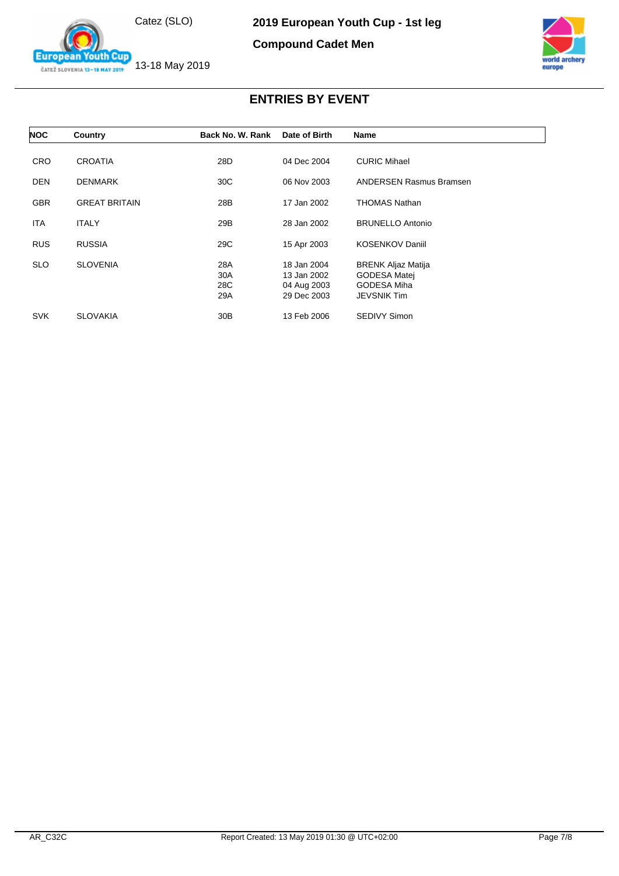Catez (SLO)





13-18 May 2019 ČATEŽ SLOVENIA 13-18 MAY 2019

**European Youth Cup** 

| <b>NOC</b> | Country              | Back No. W. Rank | Date of Birth | <b>Name</b>                    |
|------------|----------------------|------------------|---------------|--------------------------------|
|            |                      |                  |               |                                |
| <b>CRO</b> | <b>CROATIA</b>       | 28D              | 04 Dec 2004   | <b>CURIC Mihael</b>            |
| <b>DEN</b> | <b>DENMARK</b>       | 30C              | 06 Nov 2003   | <b>ANDERSEN Rasmus Bramsen</b> |
| <b>GBR</b> | <b>GREAT BRITAIN</b> | 28B              | 17 Jan 2002   | <b>THOMAS Nathan</b>           |
| <b>ITA</b> | <b>ITALY</b>         | 29B              | 28 Jan 2002   | <b>BRUNELLO Antonio</b>        |
| <b>RUS</b> | <b>RUSSIA</b>        | 29C              | 15 Apr 2003   | <b>KOSENKOV Daniil</b>         |
| <b>SLO</b> | <b>SLOVENIA</b>      | 28A              | 18 Jan 2004   | <b>BRENK Aljaz Matija</b>      |
|            |                      | 30A              | 13 Jan 2002   | GODESA Matej                   |
|            |                      | 28C              | 04 Aug 2003   | GODESA Miha                    |
|            |                      | 29A              | 29 Dec 2003   | <b>JEVSNIK Tim</b>             |
| <b>SVK</b> | <b>SLOVAKIA</b>      | 30 <sub>B</sub>  | 13 Feb 2006   | <b>SEDIVY Simon</b>            |